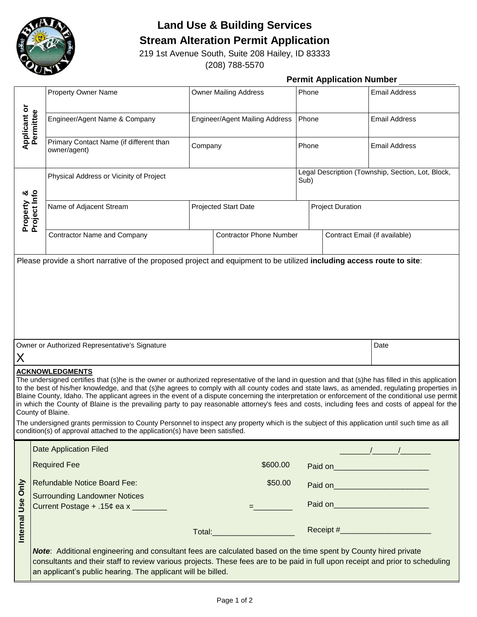

## **Land Use & Building Services**

**Stream Alteration Permit Application**

219 1st Avenue South, Suite 208 Hailey, ID 83333 (208) 788-5570

|                                   |  |                                                                                                                                                                                                                                                                                                                                                                                                                                                                                                                                                                                                                                                                                                                                                                                                                                                                                          | <b>Permit Application Number</b>      |                                       |       |                                                           |                                      |  |
|-----------------------------------|--|------------------------------------------------------------------------------------------------------------------------------------------------------------------------------------------------------------------------------------------------------------------------------------------------------------------------------------------------------------------------------------------------------------------------------------------------------------------------------------------------------------------------------------------------------------------------------------------------------------------------------------------------------------------------------------------------------------------------------------------------------------------------------------------------------------------------------------------------------------------------------------------|---------------------------------------|---------------------------------------|-------|-----------------------------------------------------------|--------------------------------------|--|
|                                   |  | <b>Property Owner Name</b>                                                                                                                                                                                                                                                                                                                                                                                                                                                                                                                                                                                                                                                                                                                                                                                                                                                               | <b>Owner Mailing Address</b><br>Phone |                                       |       | <b>Email Address</b>                                      |                                      |  |
| <b>Applicant or<br/>Permittee</b> |  | Engineer/Agent Name & Company                                                                                                                                                                                                                                                                                                                                                                                                                                                                                                                                                                                                                                                                                                                                                                                                                                                            |                                       | <b>Engineer/Agent Mailing Address</b> | Phone |                                                           | <b>Email Address</b>                 |  |
|                                   |  | Primary Contact Name (if different than<br>owner/agent)                                                                                                                                                                                                                                                                                                                                                                                                                                                                                                                                                                                                                                                                                                                                                                                                                                  | Company                               |                                       | Phone |                                                           | <b>Email Address</b>                 |  |
|                                   |  | Physical Address or Vicinity of Project                                                                                                                                                                                                                                                                                                                                                                                                                                                                                                                                                                                                                                                                                                                                                                                                                                                  |                                       |                                       |       | Legal Description (Township, Section, Lot, Block,<br>Sub) |                                      |  |
| Property &<br>Project Info        |  | Name of Adjacent Stream                                                                                                                                                                                                                                                                                                                                                                                                                                                                                                                                                                                                                                                                                                                                                                                                                                                                  |                                       | Projected Start Date                  |       | <b>Project Duration</b>                                   |                                      |  |
|                                   |  | <b>Contractor Name and Company</b>                                                                                                                                                                                                                                                                                                                                                                                                                                                                                                                                                                                                                                                                                                                                                                                                                                                       | <b>Contractor Phone Number</b>        |                                       |       | Contract Email (if available)                             |                                      |  |
|                                   |  |                                                                                                                                                                                                                                                                                                                                                                                                                                                                                                                                                                                                                                                                                                                                                                                                                                                                                          |                                       |                                       |       |                                                           |                                      |  |
| X                                 |  | Owner or Authorized Representative's Signature                                                                                                                                                                                                                                                                                                                                                                                                                                                                                                                                                                                                                                                                                                                                                                                                                                           |                                       |                                       |       |                                                           | Date                                 |  |
|                                   |  | <b>ACKNOWLEDGMENTS</b><br>The undersigned certifies that (s)he is the owner or authorized representative of the land in question and that (s)he has filled in this application<br>to the best of his/her knowledge, and that (s)he agrees to comply with all county codes and state laws, as amended, regulating properties in<br>Blaine County, Idaho. The applicant agrees in the event of a dispute concerning the interpretation or enforcement of the conditional use permit<br>in which the County of Blaine is the prevailing party to pay reasonable attorney's fees and costs, including fees and costs of appeal for the<br>County of Blaine.<br>The undersigned grants permission to County Personnel to inspect any property which is the subject of this application until such time as all<br>condition(s) of approval attached to the application(s) have been satisfied. |                                       |                                       |       |                                                           |                                      |  |
|                                   |  | <b>Date Application Filed</b>                                                                                                                                                                                                                                                                                                                                                                                                                                                                                                                                                                                                                                                                                                                                                                                                                                                            |                                       |                                       |       |                                                           |                                      |  |
|                                   |  | <b>Required Fee</b>                                                                                                                                                                                                                                                                                                                                                                                                                                                                                                                                                                                                                                                                                                                                                                                                                                                                      |                                       | \$600.00                              |       |                                                           | Paid on___________________________   |  |
|                                   |  | Refundable Notice Board Fee:                                                                                                                                                                                                                                                                                                                                                                                                                                                                                                                                                                                                                                                                                                                                                                                                                                                             |                                       | \$50.00                               |       |                                                           | Paid on_____________________________ |  |
| Internal Use Only                 |  | <b>Surrounding Landowner Notices</b><br>Current Postage + .15¢ ea x _______                                                                                                                                                                                                                                                                                                                                                                                                                                                                                                                                                                                                                                                                                                                                                                                                              |                                       |                                       |       |                                                           |                                      |  |
|                                   |  |                                                                                                                                                                                                                                                                                                                                                                                                                                                                                                                                                                                                                                                                                                                                                                                                                                                                                          |                                       | Total: ________________________       |       |                                                           |                                      |  |
|                                   |  | Note: Additional engineering and consultant fees are calculated based on the time spent by County hired private<br>consultants and their staff to review various projects. These fees are to be paid in full upon receipt and prior to scheduling<br>an applicant's public hearing. The applicant will be billed.                                                                                                                                                                                                                                                                                                                                                                                                                                                                                                                                                                        |                                       |                                       |       |                                                           |                                      |  |